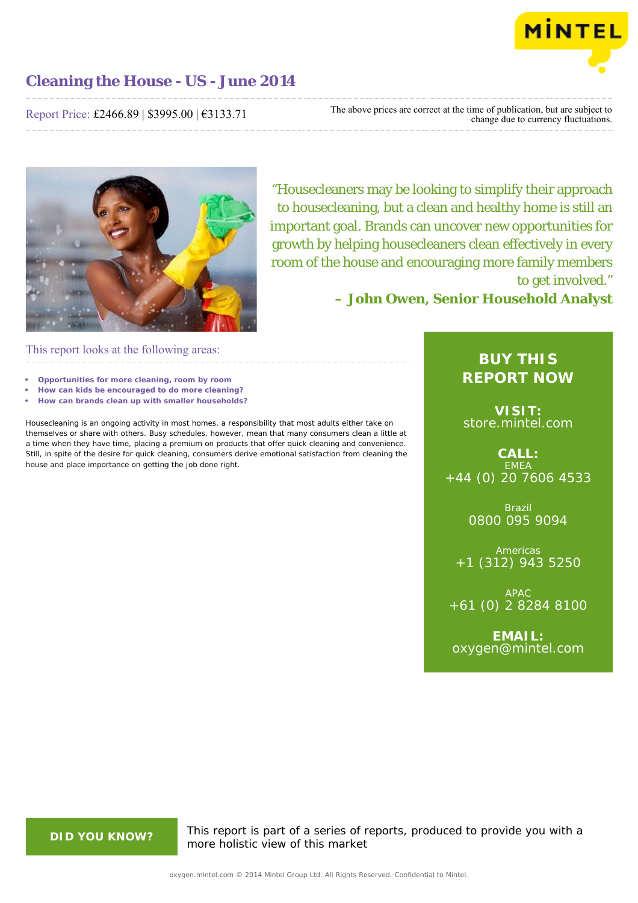

Report Price: £2466.89 | \$3995.00 | €3133.71

The above prices are correct at the time of publication, but are subject to change due to currency fluctuations.



"Housecleaners may be looking to simplify their approach to housecleaning, but a clean and healthy home is still an important goal. Brands can uncover new opportunities for growth by helping housecleaners clean effectively in every room of the house and encouraging more family members to get involved."

**– John Owen, Senior Household Analyst**

This report looks at the following areas:

- **• Opportunities for more cleaning, room by room**
- **• How can kids be encouraged to do more cleaning?**
- **• How can brands clean up with smaller households?**

Housecleaning is an ongoing activity in most homes, a responsibility that most adults either take on themselves or share with others. Busy schedules, however, mean that many consumers clean a little at a time when they have time, placing a premium on products that offer quick cleaning and convenience. Still, in spite of the desire for quick cleaning, consumers derive emotional satisfaction from cleaning the house and place importance on getting the job done right.

# **BUY THIS REPORT NOW**

**VISIT:** [store.mintel.com](http://oxygen.mintel.com//display/store/680519/)

**CALL: EMEA** +44 (0) 20 7606 4533

> Brazil 0800 095 9094

**Americas** +1 (312) 943 5250

APAC +61 (0) 2 8284 8100

**EMAIL:** [oxygen@mintel.com](mailto:oxygen@mintel.com)

**DID YOU KNOW?** This report is part of a series of reports, produced to provide you with a more holistic view of this market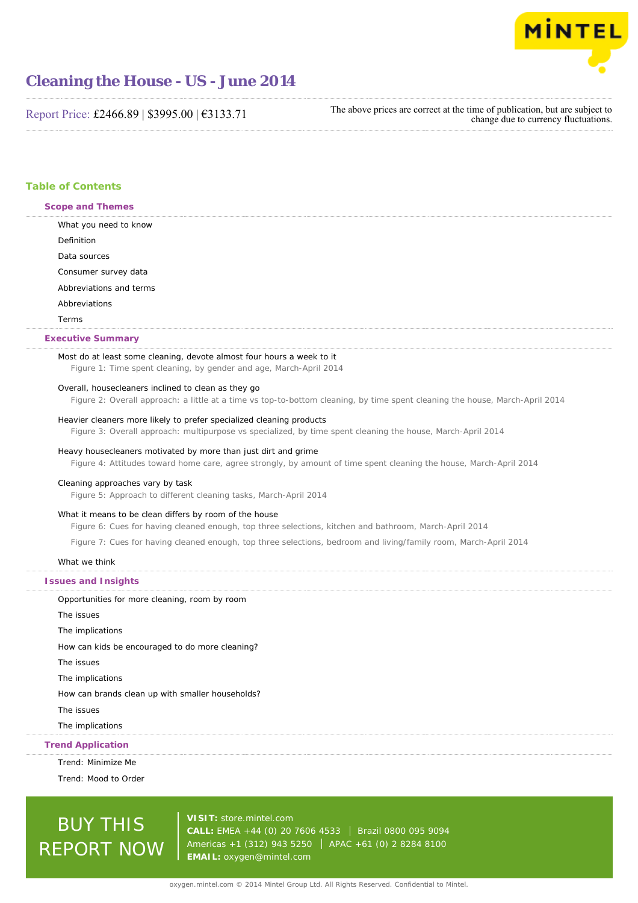

Report Price: £2466.89 | \$3995.00 | €3133.71

The above prices are correct at the time of publication, but are subject to change due to currency fluctuations.

# **Table of Contents**

| Scope and Themes                                                                                                                                                                                                               |
|--------------------------------------------------------------------------------------------------------------------------------------------------------------------------------------------------------------------------------|
| What you need to know                                                                                                                                                                                                          |
| Definition                                                                                                                                                                                                                     |
| Data sources                                                                                                                                                                                                                   |
| Consumer survey data                                                                                                                                                                                                           |
| Abbreviations and terms                                                                                                                                                                                                        |
| Abbreviations                                                                                                                                                                                                                  |
| Terms                                                                                                                                                                                                                          |
| The contract of the contract of the contract of the contract of the contract of the contract of the contract of the contract of the contract of the contract of the contract of the contract of the contract of the contract o |

# **Executive Summary**

# Most do at least some cleaning, devote almost four hours a week to it

Figure 1: Time spent cleaning, by gender and age, March-April 2014

# Overall, housecleaners inclined to clean as they go

Figure 2: Overall approach: a little at a time vs top-to-bottom cleaning, by time spent cleaning the house, March-April 2014

#### Heavier cleaners more likely to prefer specialized cleaning products

Figure 3: Overall approach: multipurpose vs specialized, by time spent cleaning the house, March-April 2014

# Heavy housecleaners motivated by more than just dirt and grime

Figure 4: Attitudes toward home care, agree strongly, by amount of time spent cleaning the house, March-April 2014

#### Cleaning approaches vary by task

Figure 5: Approach to different cleaning tasks, March-April 2014

#### What it means to be clean differs by room of the house

Figure 6: Cues for having cleaned enough, top three selections, kitchen and bathroom, March-April 2014

Figure 7: Cues for having cleaned enough, top three selections, bedroom and living/family room, March-April 2014

#### What we think

| <b>Issues and Insights</b>                       |
|--------------------------------------------------|
| Opportunities for more cleaning, room by room    |
| The issues                                       |
| The implications                                 |
| How can kids be encouraged to do more cleaning?  |
| The issues                                       |
| The implications                                 |
| How can brands clean up with smaller households? |
| The issues                                       |

The implications

## **Trend Application**

Trend: Minimize Me Trend: Mood to Order

# BUY THIS REPORT NOW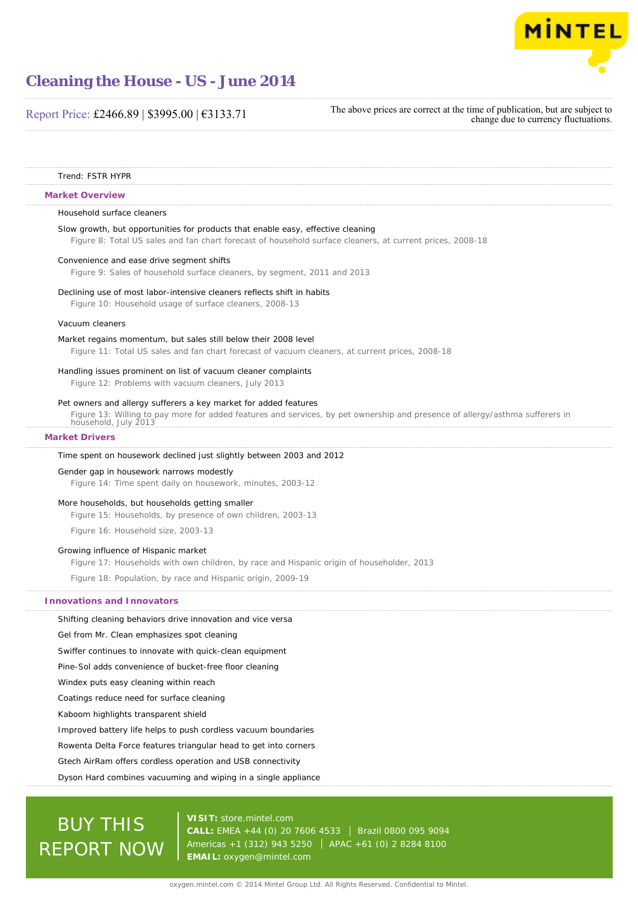

# Report Price: £2466.89 | \$3995.00 | €3133.71

The above prices are correct at the time of publication, but are subject to change due to currency fluctuations.

#### Trend: FSTR HYPR

#### **Market Overview**

#### Household surface cleaners

#### Slow growth, but opportunities for products that enable easy, effective cleaning

Figure 8: Total US sales and fan chart forecast of household surface cleaners, at current prices, 2008-18

#### Convenience and ease drive segment shifts

Figure 9: Sales of household surface cleaners, by segment, 2011 and 2013

#### Declining use of most labor-intensive cleaners reflects shift in habits

Figure 10: Household usage of surface cleaners, 2008-13

#### Vacuum cleaners

#### Market regains momentum, but sales still below their 2008 level

Figure 11: Total US sales and fan chart forecast of vacuum cleaners, at current prices, 2008-18

#### Handling issues prominent on list of vacuum cleaner complaints

Figure 12: Problems with vacuum cleaners, July 2013

#### Pet owners and allergy sufferers a key market for added features

Figure 13: Willing to pay more for added features and services, by pet ownership and presence of allergy/asthma sufferers in

household, July 2013

# **Market Drivers**

#### Time spent on housework declined just slightly between 2003 and 2012

#### Gender gap in housework narrows modestly

Figure 14: Time spent daily on housework, minutes, 2003-12

#### More households, but households getting smaller

Figure 15: Households, by presence of own children, 2003-13

Figure 16: Household size, 2003-13

#### Growing influence of Hispanic market

Figure 17: Households with own children, by race and Hispanic origin of householder, 2013

Figure 18: Population, by race and Hispanic origin, 2009-19

#### **Innovations and Innovators**

Shifting cleaning behaviors drive innovation and vice versa

Gel from Mr. Clean emphasizes spot cleaning

Swiffer continues to innovate with quick-clean equipment

Pine-Sol adds convenience of bucket-free floor cleaning

Windex puts easy cleaning within reach

Coatings reduce need for surface cleaning

Kaboom highlights transparent shield

Improved battery life helps to push cordless vacuum boundaries

Rowenta Delta Force features triangular head to get into corners

Gtech AirRam offers cordless operation and USB connectivity

## Dyson Hard combines vacuuming and wiping in a single appliance

# BUY THIS REPORT NOW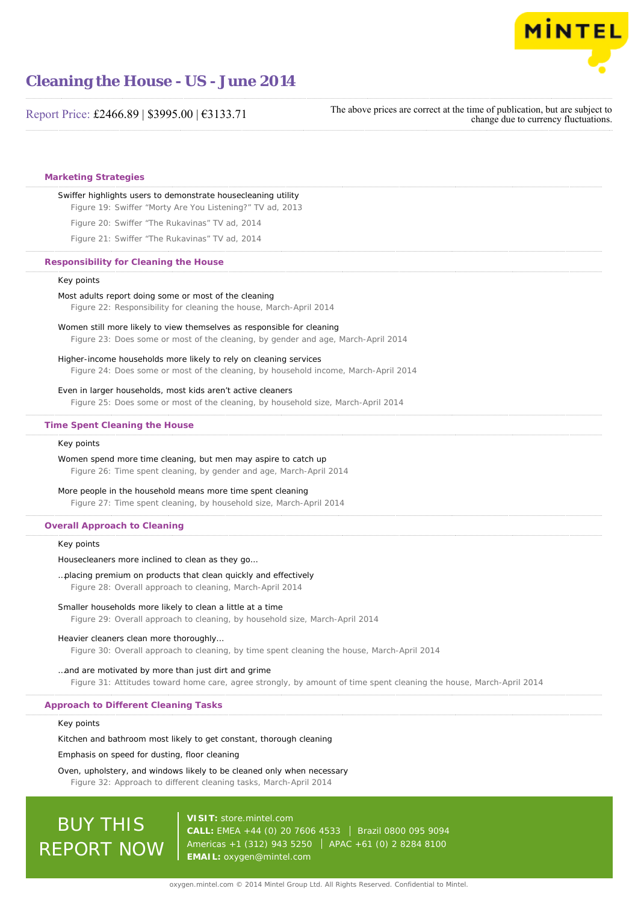

# Report Price: £2466.89 | \$3995.00 | €3133.71

The above prices are correct at the time of publication, but are subject to change due to currency fluctuations.

## **Marketing Strategies**

#### Swiffer highlights users to demonstrate housecleaning utility

Figure 19: Swiffer "Morty Are You Listening?" TV ad, 2013

Figure 20: Swiffer "The Rukavinas" TV ad, 2014

Figure 21: Swiffer "The Rukavinas" TV ad, 2014

## **Responsibility for Cleaning the House**

### Key points

Most adults report doing some or most of the cleaning Figure 22: Responsibility for cleaning the house, March-April 2014

# Women still more likely to view themselves as responsible for cleaning Figure 23: Does some or most of the cleaning, by gender and age, March-April 2014

#### Higher-income households more likely to rely on cleaning services

Figure 24: Does some or most of the cleaning, by household income, March-April 2014

#### Even in larger households, most kids aren't active cleaners

Figure 25: Does some or most of the cleaning, by household size, March-April 2014

#### **Time Spent Cleaning the House**

## Key points

Women spend more time cleaning, but men may aspire to catch up Figure 26: Time spent cleaning, by gender and age, March-April 2014

#### More people in the household means more time spent cleaning

Figure 27: Time spent cleaning, by household size, March-April 2014

### **Overall Approach to Cleaning**

#### Key points

Housecleaners more inclined to clean as they go…

# …placing premium on products that clean quickly and effectively

Figure 28: Overall approach to cleaning, March-April 2014

## Smaller households more likely to clean a little at a time

Figure 29: Overall approach to cleaning, by household size, March-April 2014

## Heavier cleaners clean more thoroughly…

Figure 30: Overall approach to cleaning, by time spent cleaning the house, March-April 2014

## …and are motivated by more than just dirt and grime

Figure 31: Attitudes toward home care, agree strongly, by amount of time spent cleaning the house, March-April 2014

## **Approach to Different Cleaning Tasks**

# Key points

Kitchen and bathroom most likely to get constant, thorough cleaning

Emphasis on speed for dusting, floor cleaning

# Oven, upholstery, and windows likely to be cleaned only when necessary

Figure 32: Approach to different cleaning tasks, March-April 2014

# **BUY THIS** REPORT NOW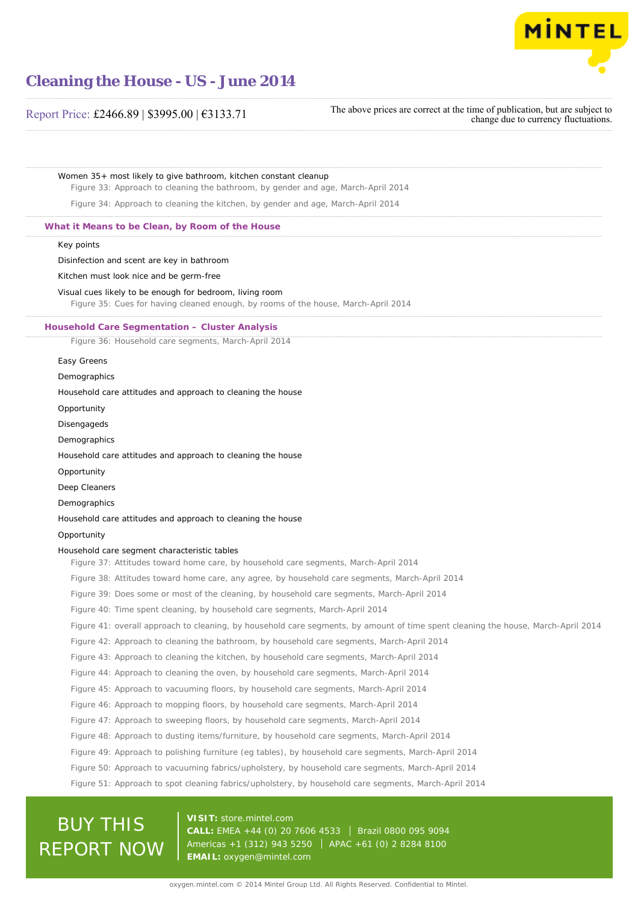

# Report Price: £2466.89 | \$3995.00 | €3133.71

# The above prices are correct at the time of publication, but are subject to change due to currency fluctuations.

Women 35+ most likely to give bathroom, kitchen constant cleanup

Figure 33: Approach to cleaning the bathroom, by gender and age, March-April 2014

Figure 34: Approach to cleaning the kitchen, by gender and age, March-April 2014

### **What it Means to be Clean, by Room of the House**

#### Key points

Disinfection and scent are key in bathroom

Kitchen must look nice and be germ-free

### Visual cues likely to be enough for bedroom, living room

Figure 35: Cues for having cleaned enough, by rooms of the house, March-April 2014

#### **Household Care Segmentation – Cluster Analysis**

Figure 36: Household care segments, March-April 2014

#### Easy Greens

Demographics

## Household care attitudes and approach to cleaning the house

**Opportunity** 

Disengageds

Demographics

Household care attitudes and approach to cleaning the house

Opportunity

Deep Cleaners

Demographics

Household care attitudes and approach to cleaning the house

# **Opportunity**

## Household care segment characteristic tables

Figure 37: Attitudes toward home care, by household care segments, March-April 2014

Figure 38: Attitudes toward home care, any agree, by household care segments, March-April 2014

Figure 39: Does some or most of the cleaning, by household care segments, March-April 2014

Figure 40: Time spent cleaning, by household care segments, March-April 2014

Figure 41: overall approach to cleaning, by household care segments, by amount of time spent cleaning the house, March-April 2014

Figure 42: Approach to cleaning the bathroom, by household care segments, March-April 2014

Figure 43: Approach to cleaning the kitchen, by household care segments, March-April 2014

Figure 44: Approach to cleaning the oven, by household care segments, March-April 2014

Figure 45: Approach to vacuuming floors, by household care segments, March-April 2014

Figure 46: Approach to mopping floors, by household care segments, March-April 2014

Figure 47: Approach to sweeping floors, by household care segments, March-April 2014

Figure 48: Approach to dusting items/furniture, by household care segments, March-April 2014

Figure 49: Approach to polishing furniture (eg tables), by household care segments, March-April 2014

Figure 50: Approach to vacuuming fabrics/upholstery, by household care segments, March-April 2014

Figure 51: Approach to spot cleaning fabrics/upholstery, by household care segments, March-April 2014

# BUY THIS REPORT NOW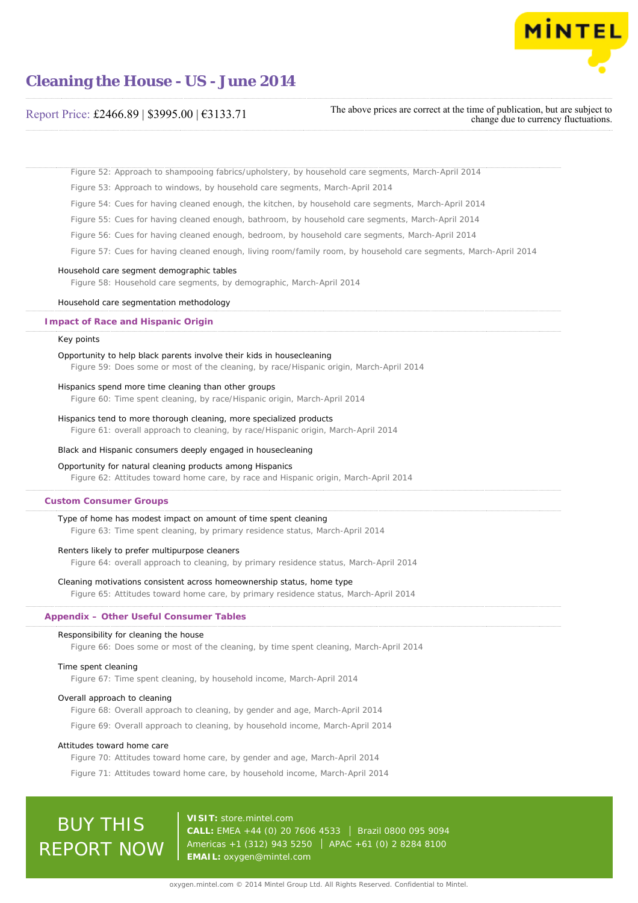

# Report Price: £2466.89 | \$3995.00 | €3133.71

The above prices are correct at the time of publication, but are subject to change due to currency fluctuations.

Figure 52: Approach to shampooing fabrics/upholstery, by household care segments, March-April 2014

Figure 53: Approach to windows, by household care segments, March-April 2014

Figure 54: Cues for having cleaned enough, the kitchen, by household care segments, March-April 2014

Figure 55: Cues for having cleaned enough, bathroom, by household care segments, March-April 2014

Figure 56: Cues for having cleaned enough, bedroom, by household care segments, March-April 2014

Figure 57: Cues for having cleaned enough, living room/family room, by household care segments, March-April 2014

#### Household care segment demographic tables

Figure 58: Household care segments, by demographic, March-April 2014

#### Household care segmentation methodology

## **Impact of Race and Hispanic Origin**

#### Key points

### Opportunity to help black parents involve their kids in housecleaning

Figure 59: Does some or most of the cleaning, by race/Hispanic origin, March-April 2014

#### Hispanics spend more time cleaning than other groups

Figure 60: Time spent cleaning, by race/Hispanic origin, March-April 2014

#### Hispanics tend to more thorough cleaning, more specialized products

Figure 61: overall approach to cleaning, by race/Hispanic origin, March-April 2014

## Black and Hispanic consumers deeply engaged in housecleaning

#### Opportunity for natural cleaning products among Hispanics

Figure 62: Attitudes toward home care, by race and Hispanic origin, March-April 2014

#### **Custom Consumer Groups**

#### Type of home has modest impact on amount of time spent cleaning

Figure 63: Time spent cleaning, by primary residence status, March-April 2014

#### Renters likely to prefer multipurpose cleaners

Figure 64: overall approach to cleaning, by primary residence status, March-April 2014

#### Cleaning motivations consistent across homeownership status, home type

Figure 65: Attitudes toward home care, by primary residence status, March-April 2014

# **Appendix – Other Useful Consumer Tables**

#### Responsibility for cleaning the house

Figure 66: Does some or most of the cleaning, by time spent cleaning, March-April 2014

#### Time spent cleaning

Figure 67: Time spent cleaning, by household income, March-April 2014

#### Overall approach to cleaning

Figure 68: Overall approach to cleaning, by gender and age, March-April 2014

Figure 69: Overall approach to cleaning, by household income, March-April 2014

#### Attitudes toward home care

Figure 70: Attitudes toward home care, by gender and age, March-April 2014 Figure 71: Attitudes toward home care, by household income, March-April 2014

# BUY THIS REPORT NOW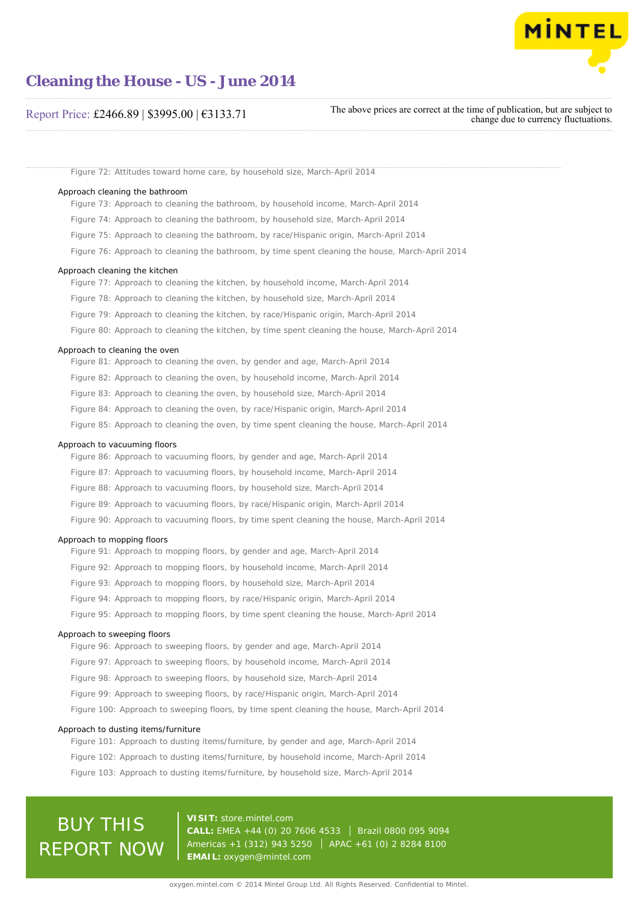

# Report Price: £2466.89 | \$3995.00 | €3133.71

The above prices are correct at the time of publication, but are subject to change due to currency fluctuations.

Figure 72: Attitudes toward home care, by household size, March-April 2014

#### Approach cleaning the bathroom

Figure 73: Approach to cleaning the bathroom, by household income, March-April 2014

Figure 74: Approach to cleaning the bathroom, by household size, March-April 2014

Figure 75: Approach to cleaning the bathroom, by race/Hispanic origin, March-April 2014

Figure 76: Approach to cleaning the bathroom, by time spent cleaning the house, March-April 2014

#### Approach cleaning the kitchen

- Figure 77: Approach to cleaning the kitchen, by household income, March-April 2014
- Figure 78: Approach to cleaning the kitchen, by household size, March-April 2014
- Figure 79: Approach to cleaning the kitchen, by race/Hispanic origin, March-April 2014
- Figure 80: Approach to cleaning the kitchen, by time spent cleaning the house, March-April 2014

#### Approach to cleaning the oven

Figure 81: Approach to cleaning the oven, by gender and age, March-April 2014 Figure 82: Approach to cleaning the oven, by household income, March-April 2014 Figure 83: Approach to cleaning the oven, by household size, March-April 2014 Figure 84: Approach to cleaning the oven, by race/Hispanic origin, March-April 2014 Figure 85: Approach to cleaning the oven, by time spent cleaning the house, March-April 2014

## Approach to vacuuming floors

Figure 86: Approach to vacuuming floors, by gender and age, March-April 2014 Figure 87: Approach to vacuuming floors, by household income, March-April 2014 Figure 88: Approach to vacuuming floors, by household size, March-April 2014 Figure 89: Approach to vacuuming floors, by race/Hispanic origin, March-April 2014 Figure 90: Approach to vacuuming floors, by time spent cleaning the house, March-April 2014

#### Approach to mopping floors

Figure 91: Approach to mopping floors, by gender and age, March-April 2014 Figure 92: Approach to mopping floors, by household income, March-April 2014 Figure 93: Approach to mopping floors, by household size, March-April 2014 Figure 94: Approach to mopping floors, by race/Hispanic origin, March-April 2014 Figure 95: Approach to mopping floors, by time spent cleaning the house, March-April 2014

#### Approach to sweeping floors

Figure 96: Approach to sweeping floors, by gender and age, March-April 2014

- Figure 97: Approach to sweeping floors, by household income, March-April 2014
- Figure 98: Approach to sweeping floors, by household size, March-April 2014
- Figure 99: Approach to sweeping floors, by race/Hispanic origin, March-April 2014

Figure 100: Approach to sweeping floors, by time spent cleaning the house, March-April 2014

#### Approach to dusting items/furniture

Figure 101: Approach to dusting items/furniture, by gender and age, March-April 2014 Figure 102: Approach to dusting items/furniture, by household income, March-April 2014 Figure 103: Approach to dusting items/furniture, by household size, March-April 2014

# BUY THIS REPORT NOW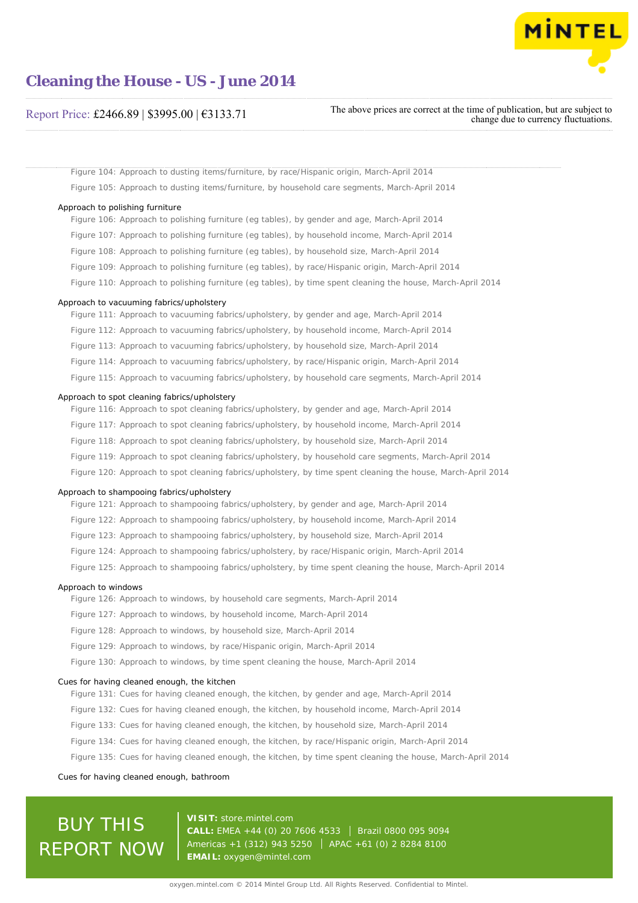

# Report Price: £2466.89 | \$3995.00 | €3133.71

The above prices are correct at the time of publication, but are subject to change due to currency fluctuations.

Figure 104: Approach to dusting items/furniture, by race/Hispanic origin, March-April 2014 Figure 105: Approach to dusting items/furniture, by household care segments, March-April 2014

#### Approach to polishing furniture

Figure 106: Approach to polishing furniture (eg tables), by gender and age, March-April 2014 Figure 107: Approach to polishing furniture (eg tables), by household income, March-April 2014 Figure 108: Approach to polishing furniture (eg tables), by household size, March-April 2014

- Figure 109: Approach to polishing furniture (eg tables), by race/Hispanic origin, March-April 2014
- Figure 110: Approach to polishing furniture (eg tables), by time spent cleaning the house, March-April 2014

#### Approach to vacuuming fabrics/upholstery

Figure 111: Approach to vacuuming fabrics/upholstery, by gender and age, March-April 2014 Figure 112: Approach to vacuuming fabrics/upholstery, by household income, March-April 2014 Figure 113: Approach to vacuuming fabrics/upholstery, by household size, March-April 2014 Figure 114: Approach to vacuuming fabrics/upholstery, by race/Hispanic origin, March-April 2014 Figure 115: Approach to vacuuming fabrics/upholstery, by household care segments, March-April 2014

#### Approach to spot cleaning fabrics/upholstery

Figure 116: Approach to spot cleaning fabrics/upholstery, by gender and age, March-April 2014

- Figure 117: Approach to spot cleaning fabrics/upholstery, by household income, March-April 2014
- Figure 118: Approach to spot cleaning fabrics/upholstery, by household size, March-April 2014
- Figure 119: Approach to spot cleaning fabrics/upholstery, by household care segments, March-April 2014
- Figure 120: Approach to spot cleaning fabrics/upholstery, by time spent cleaning the house, March-April 2014

#### Approach to shampooing fabrics/upholstery

Figure 121: Approach to shampooing fabrics/upholstery, by gender and age, March-April 2014

- Figure 122: Approach to shampooing fabrics/upholstery, by household income, March-April 2014
- Figure 123: Approach to shampooing fabrics/upholstery, by household size, March-April 2014
- Figure 124: Approach to shampooing fabrics/upholstery, by race/Hispanic origin, March-April 2014
- Figure 125: Approach to shampooing fabrics/upholstery, by time spent cleaning the house, March-April 2014

#### Approach to windows

Figure 126: Approach to windows, by household care segments, March-April 2014

- Figure 127: Approach to windows, by household income, March-April 2014
- Figure 128: Approach to windows, by household size, March-April 2014
- Figure 129: Approach to windows, by race/Hispanic origin, March-April 2014

Figure 130: Approach to windows, by time spent cleaning the house, March-April 2014

#### Cues for having cleaned enough, the kitchen

- Figure 131: Cues for having cleaned enough, the kitchen, by gender and age, March-April 2014
- Figure 132: Cues for having cleaned enough, the kitchen, by household income, March-April 2014
- Figure 133: Cues for having cleaned enough, the kitchen, by household size, March-April 2014
- Figure 134: Cues for having cleaned enough, the kitchen, by race/Hispanic origin, March-April 2014
- Figure 135: Cues for having cleaned enough, the kitchen, by time spent cleaning the house, March-April 2014

#### Cues for having cleaned enough, bathroom

# BUY THIS REPORT NOW